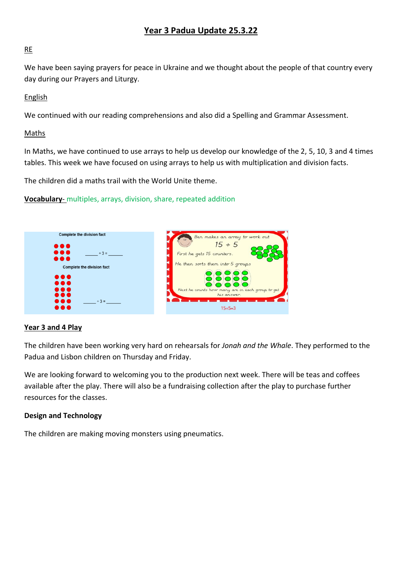### **Year 3 Padua Update 25.3.22**

#### RE

We have been saying prayers for peace in Ukraine and we thought about the people of that country every day during our Prayers and Liturgy.

#### English

We continued with our reading comprehensions and also did a Spelling and Grammar Assessment.

#### Maths

In Maths, we have continued to use arrays to help us develop our knowledge of the 2, 5, 10, 3 and 4 times tables. This week we have focused on using arrays to help us with multiplication and division facts.

The children did a maths trail with the World Unite theme.

**Vocabulary**- multiples, arrays, division, share, repeated addition



#### **Year 3 and 4 Play**

The children have been working very hard on rehearsals for *Jonah and the Whale*. They performed to the Padua and Lisbon children on Thursday and Friday.

We are looking forward to welcoming you to the production next week. There will be teas and coffees available after the play. There will also be a fundraising collection after the play to purchase further resources for the classes.

#### **Design and Technology**

The children are making moving monsters using pneumatics.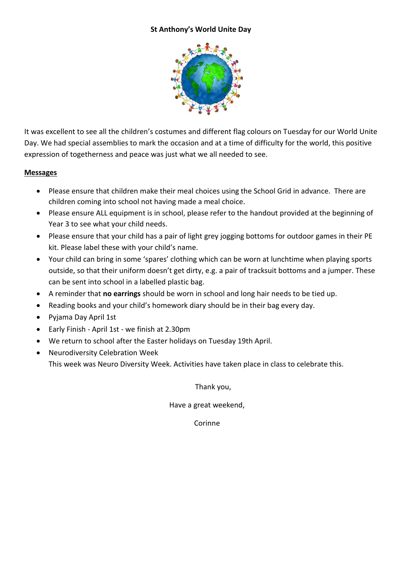#### **St Anthony's World Unite Day**



It was excellent to see all the children's costumes and different flag colours on Tuesday for our World Unite Day. We had special assemblies to mark the occasion and at a time of difficulty for the world, this positive expression of togetherness and peace was just what we all needed to see.

#### **Messages**

- Please ensure that children make their meal choices using the School Grid in advance. There are children coming into school not having made a meal choice.
- Please ensure ALL equipment is in school, please refer to the handout provided at the beginning of Year 3 to see what your child needs.
- Please ensure that your child has a pair of light grey jogging bottoms for outdoor games in their PE kit. Please label these with your child's name.
- Your child can bring in some 'spares' clothing which can be worn at lunchtime when playing sports outside, so that their uniform doesn't get dirty, e.g. a pair of tracksuit bottoms and a jumper. These can be sent into school in a labelled plastic bag.
- A reminder that **no earrings** should be worn in school and long hair needs to be tied up.
- Reading books and your child's homework diary should be in their bag every day.
- Pyjama Day April 1st
- Early Finish April 1st we finish at 2.30pm
- We return to school after the Easter holidays on Tuesday 19th April.
- Neurodiversity Celebration Week This week was Neuro Diversity Week. Activities have taken place in class to celebrate this.

Thank you,

Have a great weekend,

Corinne